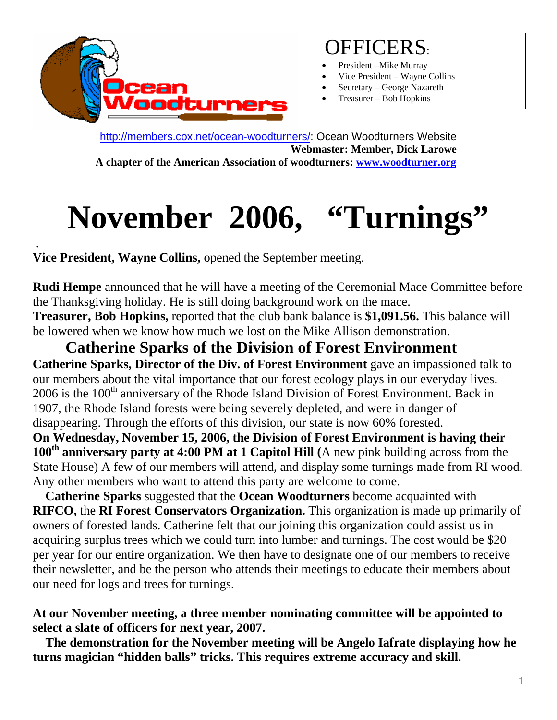

## OFFICERS:

- President -Mike Murray
- Vice President Wayne Collins
- Secretary George Nazareth
- Treasurer Bob Hopkins

<http://members.cox.net/ocean-woodturners/>: Ocean Woodturners Website **Webmaster: Member, Dick Larowe A chapter of the American Association of woodturners: [www.woodturner.org](http://www.woodturner.org/)** 

**November 2006, "Turnings"** 

. **Vice President, Wayne Collins,** opened the September meeting.

**Rudi Hempe** announced that he will have a meeting of the Ceremonial Mace Committee before the Thanksgiving holiday. He is still doing background work on the mace. **Treasurer, Bob Hopkins,** reported that the club bank balance is **\$1,091.56.** This balance will be lowered when we know how much we lost on the Mike Allison demonstration.

 **Catherine Sparks of the Division of Forest Environment Catherine Sparks, Director of the Div. of Forest Environment** gave an impassioned talk to our members about the vital importance that our forest ecology plays in our everyday lives. 2006 is the 100<sup>th</sup> anniversary of the Rhode Island Division of Forest Environment. Back in 1907, the Rhode Island forests were being severely depleted, and were in danger of disappearing. Through the efforts of this division, our state is now 60% forested. **On Wednesday, November 15, 2006, the Division of Forest Environment is having their**  100<sup>th</sup> anniversary party at 4:00 PM at 1 Capitol Hill (A new pink building across from the State House) A few of our members will attend, and display some turnings made from RI wood.

Any other members who want to attend this party are welcome to come.  **Catherine Sparks** suggested that the **Ocean Woodturners** become acquainted with **RIFCO,** the **RI Forest Conservators Organization.** This organization is made up primarily of owners of forested lands. Catherine felt that our joining this organization could assist us in acquiring surplus trees which we could turn into lumber and turnings. The cost would be \$20 per year for our entire organization. We then have to designate one of our members to receive their newsletter, and be the person who attends their meetings to educate their members about our need for logs and trees for turnings.

#### **At our November meeting, a three member nominating committee will be appointed to select a slate of officers for next year, 2007.**

 **The demonstration for the November meeting will be Angelo Iafrate displaying how he turns magician "hidden balls" tricks. This requires extreme accuracy and skill.**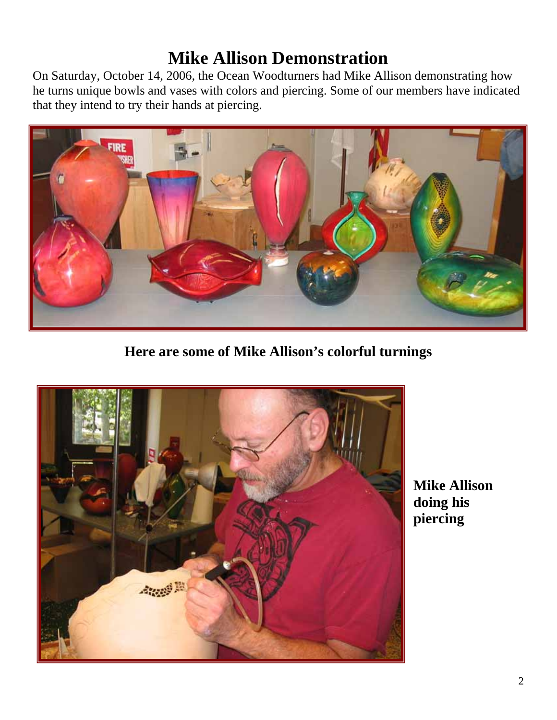### **Mike Allison Demonstration**

On Saturday, October 14, 2006, the Ocean Woodturners had Mike Allison demonstrating how he turns unique bowls and vases with colors and piercing. Some of our members have indicated that they intend to try their hands at piercing.



**Here are some of Mike Allison's colorful turnings** 



**Mike Allison doing his piercing**